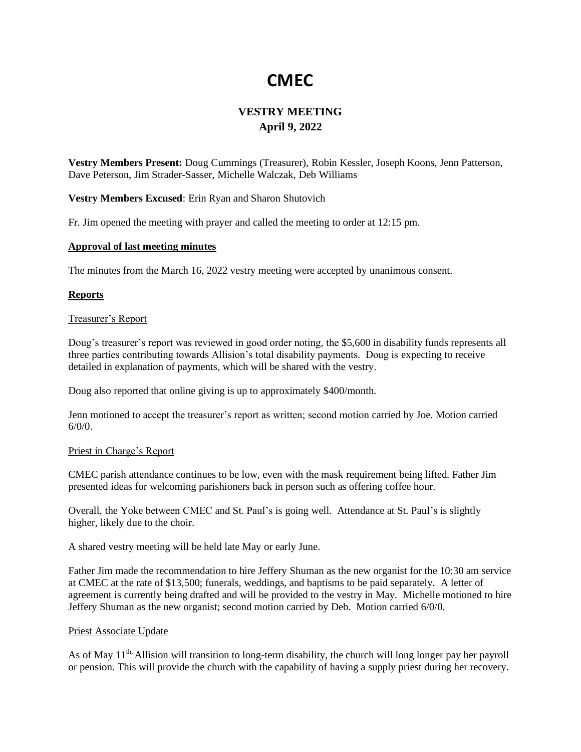# **CMEC**

# **VESTRY MEETING April 9, 2022**

**Vestry Members Present:** Doug Cummings (Treasurer), Robin Kessler, Joseph Koons, Jenn Patterson, Dave Peterson, Jim Strader-Sasser, Michelle Walczak, Deb Williams

**Vestry Members Excused**: Erin Ryan and Sharon Shutovich

Fr. Jim opened the meeting with prayer and called the meeting to order at 12:15 pm.

# **Approval of last meeting minutes**

The minutes from the March 16, 2022 vestry meeting were accepted by unanimous consent.

# **Reports**

# Treasurer's Report

Doug's treasurer's report was reviewed in good order noting, the \$5,600 in disability funds represents all three parties contributing towards Allision's total disability payments. Doug is expecting to receive detailed in explanation of payments, which will be shared with the vestry.

Doug also reported that online giving is up to approximately \$400/month.

Jenn motioned to accept the treasurer's report as written; second motion carried by Joe. Motion carried  $6/0/0$ .

# Priest in Charge's Report

CMEC parish attendance continues to be low, even with the mask requirement being lifted. Father Jim presented ideas for welcoming parishioners back in person such as offering coffee hour.

Overall, the Yoke between CMEC and St. Paul's is going well. Attendance at St. Paul's is slightly higher, likely due to the choir.

A shared vestry meeting will be held late May or early June.

Father Jim made the recommendation to hire Jeffery Shuman as the new organist for the 10:30 am service at CMEC at the rate of \$13,500; funerals, weddings, and baptisms to be paid separately. A letter of agreement is currently being drafted and will be provided to the vestry in May. Michelle motioned to hire Jeffery Shuman as the new organist; second motion carried by Deb. Motion carried 6/0/0.

# Priest Associate Update

As of May  $11<sup>th</sup>$ , Allision will transition to long-term disability, the church will long longer pay her payroll or pension. This will provide the church with the capability of having a supply priest during her recovery.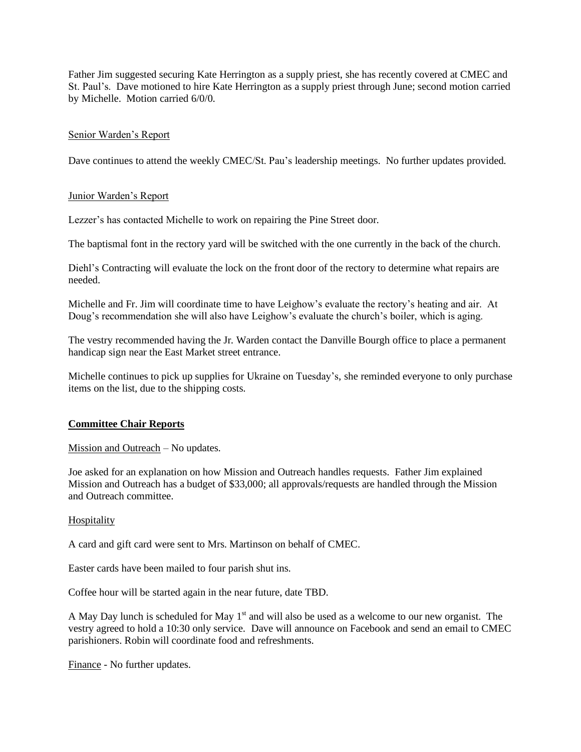Father Jim suggested securing Kate Herrington as a supply priest, she has recently covered at CMEC and St. Paul's. Dave motioned to hire Kate Herrington as a supply priest through June; second motion carried by Michelle. Motion carried 6/0/0.

# Senior Warden's Report

Dave continues to attend the weekly CMEC/St. Pau's leadership meetings. No further updates provided.

# Junior Warden's Report

Lezzer's has contacted Michelle to work on repairing the Pine Street door.

The baptismal font in the rectory yard will be switched with the one currently in the back of the church.

Diehl's Contracting will evaluate the lock on the front door of the rectory to determine what repairs are needed.

Michelle and Fr. Jim will coordinate time to have Leighow's evaluate the rectory's heating and air. At Doug's recommendation she will also have Leighow's evaluate the church's boiler, which is aging.

The vestry recommended having the Jr. Warden contact the Danville Bourgh office to place a permanent handicap sign near the East Market street entrance.

Michelle continues to pick up supplies for Ukraine on Tuesday's, she reminded everyone to only purchase items on the list, due to the shipping costs.

# **Committee Chair Reports**

Mission and Outreach – No updates.

Joe asked for an explanation on how Mission and Outreach handles requests. Father Jim explained Mission and Outreach has a budget of \$33,000; all approvals/requests are handled through the Mission and Outreach committee.

# **Hospitality**

A card and gift card were sent to Mrs. Martinson on behalf of CMEC.

Easter cards have been mailed to four parish shut ins.

Coffee hour will be started again in the near future, date TBD.

A May Day lunch is scheduled for May  $1<sup>st</sup>$  and will also be used as a welcome to our new organist. The vestry agreed to hold a 10:30 only service. Dave will announce on Facebook and send an email to CMEC parishioners. Robin will coordinate food and refreshments.

Finance - No further updates.